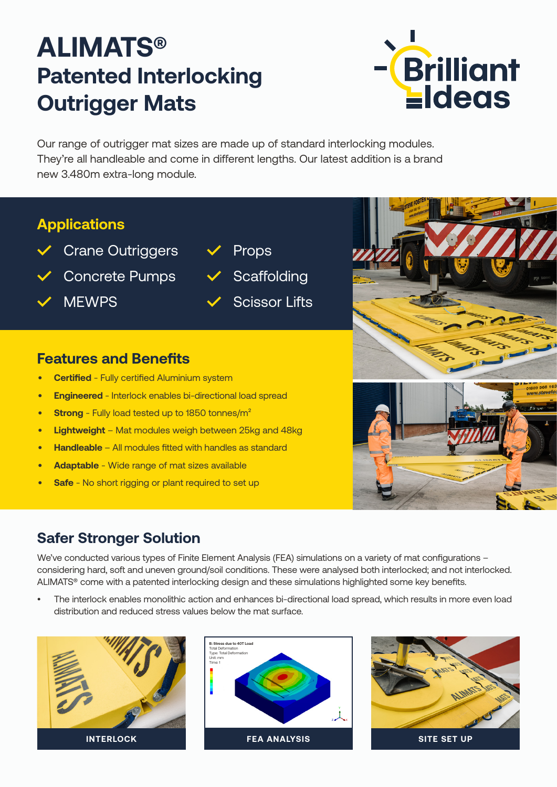# **ALIMATS® Patented Interlocking Outrigger Mats**



Our range of outrigger mat sizes are made up of standard interlocking modules. They're all handleable and come in different lengths. Our latest addition is a brand new 3.480m extra-long module.

#### **Applications**

- **✓** Crane Outriggers
- **✓** Concrete Pumps
- **✓** MEWPS
- **✓** Props
- **✓** Scaffolding
- **✓** Scissor Lifts

#### **Features and Benefits**

- **• Certified** Fully certified Aluminium system
- **• Engineered** Interlock enables bi-directional load spread
- **• Strong** Fully load tested up to 1850 tonnes/m²
- **• Lightweight** Mat modules weigh between 25kg and 48kg
- **• Handleable** All modules fitted with handles as standard
- **• Adaptable** Wide range of mat sizes available
- **• Safe** No short rigging or plant required to set up

# **Safer Stronger Solution**

We've conducted various types of Finite Element Analysis (FEA) simulations on a variety of mat configurations considering hard, soft and uneven ground/soil conditions. These were analysed both interlocked; and not interlocked. ALIMATS® come with a patented interlocking design and these simulations highlighted some key benefits.

• The interlock enables monolithic action and enhances bi-directional load spread, which results in more even load distribution and reduced stress values below the mat surface.